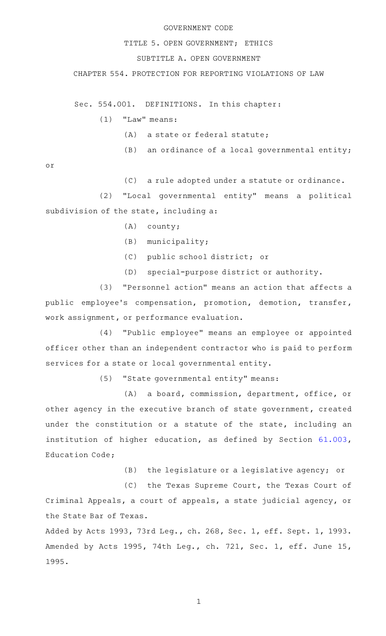## GOVERNMENT CODE

## TITLE 5. OPEN GOVERNMENT; ETHICS

## SUBTITLE A. OPEN GOVERNMENT

CHAPTER 554. PROTECTION FOR REPORTING VIOLATIONS OF LAW

Sec. 554.001. DEFINITIONS. In this chapter:

 $(1)$  "Law" means:

- (A) a state or federal statute;
- $(B)$  an ordinance of a local governmental entity;

or

(C) a rule adopted under a statute or ordinance.

(2) "Local governmental entity" means a political subdivision of the state, including a:

- $(A)$  county;
- $(B)$  municipality;
- (C) public school district; or
- (D) special-purpose district or authority.

(3) "Personnel action" means an action that affects a public employee 's compensation, promotion, demotion, transfer, work assignment, or performance evaluation.

(4) "Public employee" means an employee or appointed officer other than an independent contractor who is paid to perform services for a state or local governmental entity.

(5) "State governmental entity" means:

(A) a board, commission, department, office, or other agency in the executive branch of state government, created under the constitution or a statute of the state, including an institution of higher education, as defined by Section [61.003](http://www.statutes.legis.state.tx.us/GetStatute.aspx?Code=ED&Value=61.003), Education Code;

 $(B)$  the legislature or a legislative agency; or

(C) the Texas Supreme Court, the Texas Court of Criminal Appeals, a court of appeals, a state judicial agency, or the State Bar of Texas.

Added by Acts 1993, 73rd Leg., ch. 268, Sec. 1, eff. Sept. 1, 1993. Amended by Acts 1995, 74th Leg., ch. 721, Sec. 1, eff. June 15, 1995.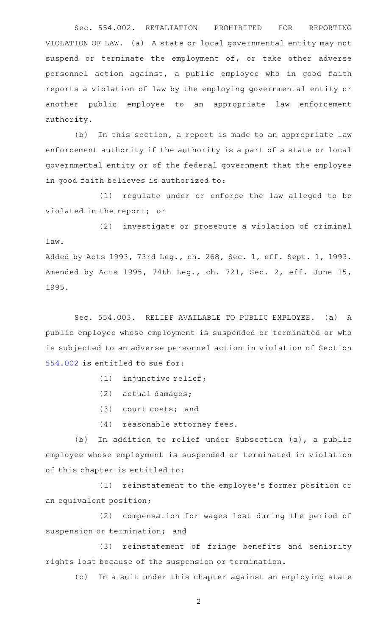Sec. 554.002. RETALIATION PROHIBITED FOR REPORTING VIOLATION OF LAW. (a) A state or local governmental entity may not suspend or terminate the employment of, or take other adverse personnel action against, a public employee who in good faith reports a violation of law by the employing governmental entity or another public employee to an appropriate law enforcement authority.

(b) In this section, a report is made to an appropriate law enforcement authority if the authority is a part of a state or local governmental entity or of the federal government that the employee in good faith believes is authorized to:

(1) regulate under or enforce the law alleged to be violated in the report; or

(2) investigate or prosecute a violation of criminal law. Added by Acts 1993, 73rd Leg., ch. 268, Sec. 1, eff. Sept. 1, 1993.

Amended by Acts 1995, 74th Leg., ch. 721, Sec. 2, eff. June 15, 1995.

Sec. 554.003. RELIEF AVAILABLE TO PUBLIC EMPLOYEE. (a) A public employee whose employment is suspended or terminated or who is subjected to an adverse personnel action in violation of Section [554.002](http://www.statutes.legis.state.tx.us/GetStatute.aspx?Code=GV&Value=554.002) is entitled to sue for:

- (1) injunctive relief;
- $(2)$  actual damages;
- $(3)$  court costs; and
- (4) reasonable attorney fees.

(b) In addition to relief under Subsection (a), a public employee whose employment is suspended or terminated in violation of this chapter is entitled to:

(1) reinstatement to the employee's former position or an equivalent position;

(2) compensation for wages lost during the period of suspension or termination; and

(3) reinstatement of fringe benefits and seniority rights lost because of the suspension or termination.

(c) In a suit under this chapter against an employing state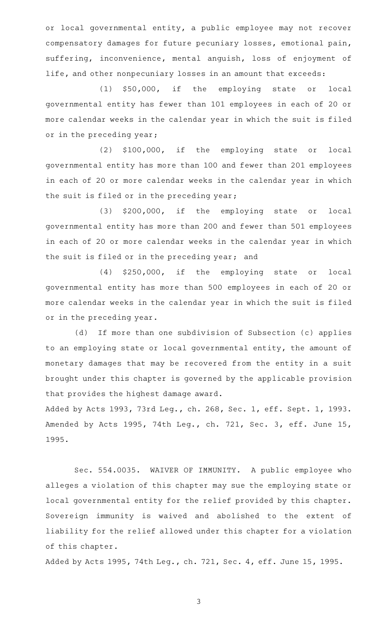or local governmental entity, a public employee may not recover compensatory damages for future pecuniary losses, emotional pain, suffering, inconvenience, mental anguish, loss of enjoyment of life, and other nonpecuniary losses in an amount that exceeds:

(1) \$50,000, if the employing state or local governmental entity has fewer than 101 employees in each of 20 or more calendar weeks in the calendar year in which the suit is filed or in the preceding year;

(2) \$100,000, if the employing state or local governmental entity has more than 100 and fewer than 201 employees in each of 20 or more calendar weeks in the calendar year in which the suit is filed or in the preceding year;

(3) \$200,000, if the employing state or local governmental entity has more than 200 and fewer than 501 employees in each of 20 or more calendar weeks in the calendar year in which the suit is filed or in the preceding year; and

(4) \$250,000, if the employing state or local governmental entity has more than 500 employees in each of 20 or more calendar weeks in the calendar year in which the suit is filed or in the preceding year.

(d) If more than one subdivision of Subsection (c) applies to an employing state or local governmental entity, the amount of monetary damages that may be recovered from the entity in a suit brought under this chapter is governed by the applicable provision that provides the highest damage award.

Added by Acts 1993, 73rd Leg., ch. 268, Sec. 1, eff. Sept. 1, 1993. Amended by Acts 1995, 74th Leg., ch. 721, Sec. 3, eff. June 15, 1995.

Sec. 554.0035. WAIVER OF IMMUNITY. A public employee who alleges a violation of this chapter may sue the employing state or local governmental entity for the relief provided by this chapter. Sovereign immunity is waived and abolished to the extent of liability for the relief allowed under this chapter for a violation of this chapter.

Added by Acts 1995, 74th Leg., ch. 721, Sec. 4, eff. June 15, 1995.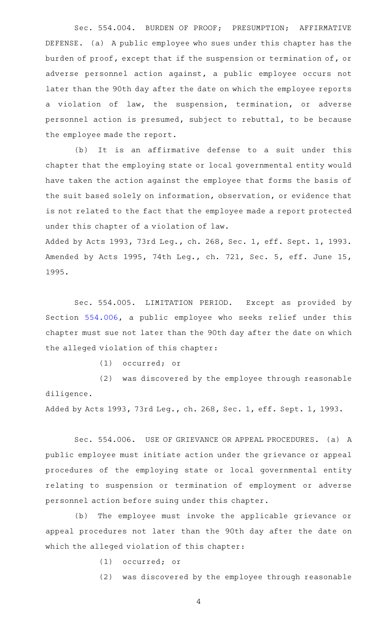Sec. 554.004. BURDEN OF PROOF; PRESUMPTION; AFFIRMATIVE DEFENSE. (a) A public employee who sues under this chapter has the burden of proof, except that if the suspension or termination of, or adverse personnel action against, a public employee occurs not later than the 90th day after the date on which the employee reports a violation of law, the suspension, termination, or adverse personnel action is presumed, subject to rebuttal, to be because the employee made the report.

(b) It is an affirmative defense to a suit under this chapter that the employing state or local governmental entity would have taken the action against the employee that forms the basis of the suit based solely on information, observation, or evidence that is not related to the fact that the employee made a report protected under this chapter of a violation of law.

Added by Acts 1993, 73rd Leg., ch. 268, Sec. 1, eff. Sept. 1, 1993. Amended by Acts 1995, 74th Leg., ch. 721, Sec. 5, eff. June 15, 1995.

Sec. 554.005. LIMITATION PERIOD. Except as provided by Section [554.006](http://www.statutes.legis.state.tx.us/GetStatute.aspx?Code=GV&Value=554.006), a public employee who seeks relief under this chapter must sue not later than the 90th day after the date on which the alleged violation of this chapter:

(1) occurred; or

(2) was discovered by the employee through reasonable diligence.

Added by Acts 1993, 73rd Leg., ch. 268, Sec. 1, eff. Sept. 1, 1993.

Sec. 554.006. USE OF GRIEVANCE OR APPEAL PROCEDURES. (a) A public employee must initiate action under the grievance or appeal procedures of the employing state or local governmental entity relating to suspension or termination of employment or adverse personnel action before suing under this chapter.

(b) The employee must invoke the applicable grievance or appeal procedures not later than the 90th day after the date on which the alleged violation of this chapter:

(1) occurred; or

(2) was discovered by the employee through reasonable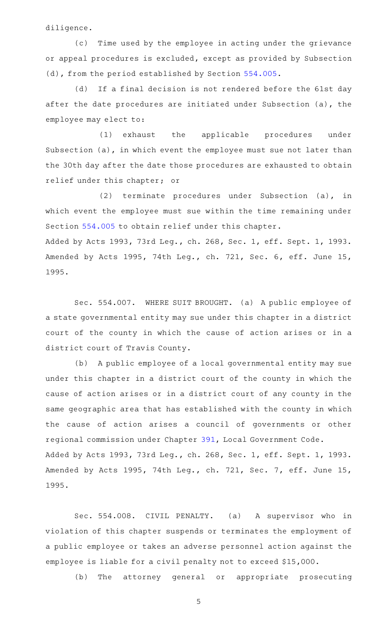diligence.

(c) Time used by the employee in acting under the grievance or appeal procedures is excluded, except as provided by Subsection (d), from the period established by Section [554.005](http://www.statutes.legis.state.tx.us/GetStatute.aspx?Code=GV&Value=554.005).

(d) If a final decision is not rendered before the 61st day after the date procedures are initiated under Subsection (a), the employee may elect to:

(1) exhaust the applicable procedures under Subsection (a), in which event the employee must sue not later than the 30th day after the date those procedures are exhausted to obtain relief under this chapter; or

(2) terminate procedures under Subsection (a), in which event the employee must sue within the time remaining under Section [554.005](http://www.statutes.legis.state.tx.us/GetStatute.aspx?Code=GV&Value=554.005) to obtain relief under this chapter. Added by Acts 1993, 73rd Leg., ch. 268, Sec. 1, eff. Sept. 1, 1993. Amended by Acts 1995, 74th Leg., ch. 721, Sec. 6, eff. June 15, 1995.

Sec. 554.007. WHERE SUIT BROUGHT. (a) A public employee of a state governmental entity may sue under this chapter in a district court of the county in which the cause of action arises or in a district court of Travis County.

(b) A public employee of a local governmental entity may sue under this chapter in a district court of the county in which the cause of action arises or in a district court of any county in the same geographic area that has established with the county in which the cause of action arises a council of governments or other regional commission under Chapter [391](http://www.statutes.legis.state.tx.us/GetStatute.aspx?Code=LG&Value=391), Local Government Code. Added by Acts 1993, 73rd Leg., ch. 268, Sec. 1, eff. Sept. 1, 1993. Amended by Acts 1995, 74th Leg., ch. 721, Sec. 7, eff. June 15, 1995.

Sec. 554.008. CIVIL PENALTY. (a) A supervisor who in violation of this chapter suspends or terminates the employment of a public employee or takes an adverse personnel action against the employee is liable for a civil penalty not to exceed \$15,000.

(b) The attorney general or appropriate prosecuting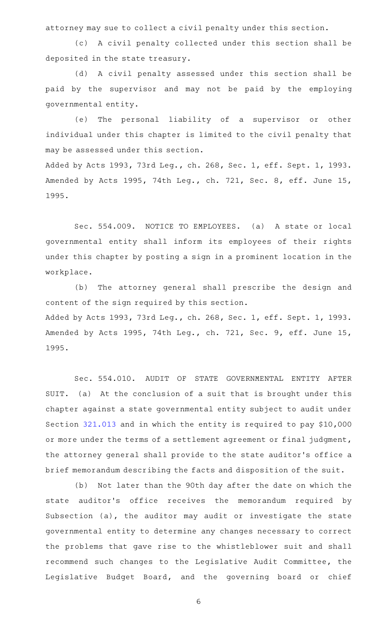attorney may sue to collect a civil penalty under this section.

(c) A civil penalty collected under this section shall be deposited in the state treasury.

(d) A civil penalty assessed under this section shall be paid by the supervisor and may not be paid by the employing governmental entity.

(e) The personal liability of a supervisor or other individual under this chapter is limited to the civil penalty that may be assessed under this section.

Added by Acts 1993, 73rd Leg., ch. 268, Sec. 1, eff. Sept. 1, 1993. Amended by Acts 1995, 74th Leg., ch. 721, Sec. 8, eff. June 15, 1995.

Sec. 554.009. NOTICE TO EMPLOYEES. (a) A state or local governmental entity shall inform its employees of their rights under this chapter by posting a sign in a prominent location in the workplace.

(b) The attorney general shall prescribe the design and content of the sign required by this section. Added by Acts 1993, 73rd Leg., ch. 268, Sec. 1, eff. Sept. 1, 1993. Amended by Acts 1995, 74th Leg., ch. 721, Sec. 9, eff. June 15, 1995.

Sec. 554.010. AUDIT OF STATE GOVERNMENTAL ENTITY AFTER SUIT. (a) At the conclusion of a suit that is brought under this chapter against a state governmental entity subject to audit under Section [321.013](http://www.statutes.legis.state.tx.us/GetStatute.aspx?Code=GV&Value=321.013) and in which the entity is required to pay \$10,000 or more under the terms of a settlement agreement or final judgment, the attorney general shall provide to the state auditor 's office a brief memorandum describing the facts and disposition of the suit.

(b) Not later than the 90th day after the date on which the state auditor's office receives the memorandum required by Subsection (a), the auditor may audit or investigate the state governmental entity to determine any changes necessary to correct the problems that gave rise to the whistleblower suit and shall recommend such changes to the Legislative Audit Committee, the Legislative Budget Board, and the governing board or chief